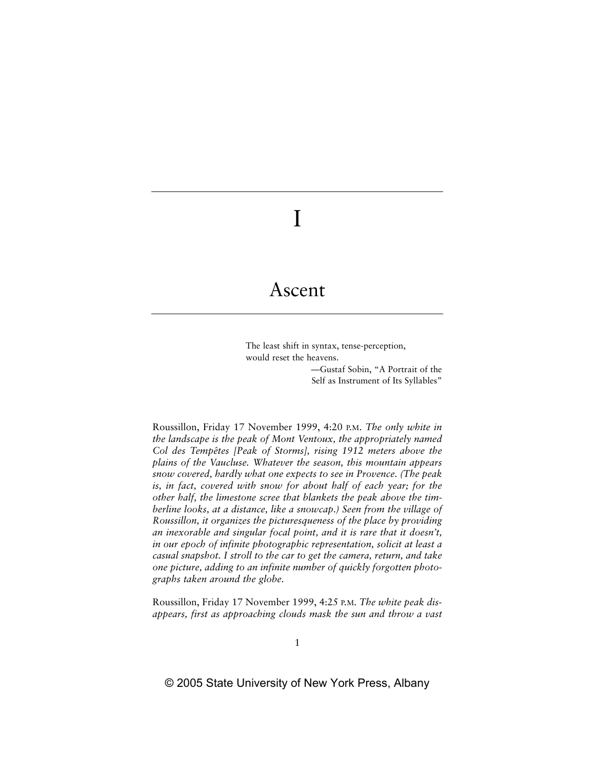# I

# Ascent

The least shift in syntax, tense-perception, would reset the heavens.

> —Gustaf Sobin, "A Portrait of the Self as Instrument of Its Syllables"

Roussillon, Friday 17 November 1999, 4:20 P.M. *The only white in the landscape is the peak of Mont Ventoux, the appropriately named Col des Tempêtes [Peak of Storms], rising 1912 meters above the plains of the Vaucluse. Whatever the season, this mountain appears snow covered, hardly what one expects to see in Provence. (The peak is, in fact, covered with snow for about half of each year; for the other half, the limestone scree that blankets the peak above the timberline looks, at a distance, like a snowcap.) Seen from the village of Roussillon, it organizes the picturesqueness of the place by providing an inexorable and singular focal point, and it is rare that it doesn't, in our epoch of infinite photographic representation, solicit at least a casual snapshot. I stroll to the car to get the camera, return, and take one picture, adding to an infinite number of quickly forgotten photographs taken around the globe.* 

Roussillon, Friday 17 November 1999, 4:25 P.M. *The white peak disappears, first as approaching clouds mask the sun and throw a vast*

1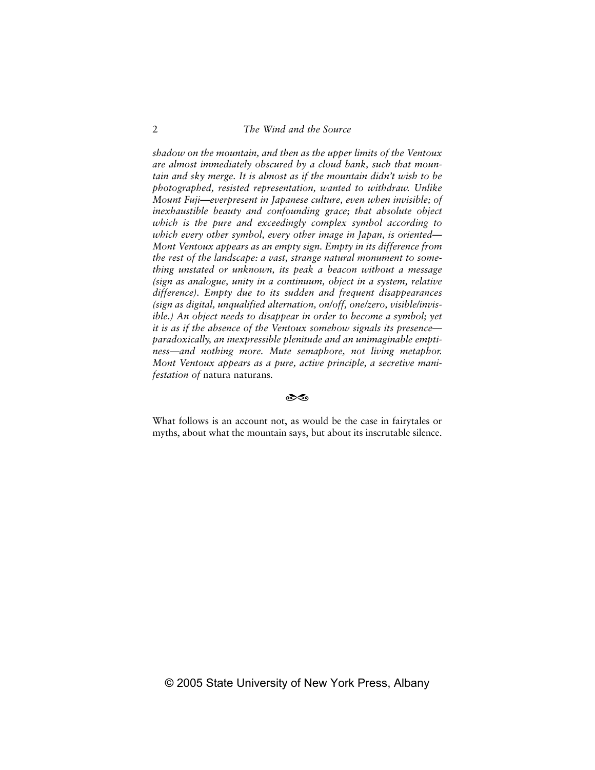*shadow on the mountain, and then as the upper limits of the Ventoux are almost immediately obscured by a cloud bank, such that mountain and sky merge. It is almost as if the mountain didn't wish to be photographed, resisted representation, wanted to withdraw. Unlike Mount Fuji—everpresent in Japanese culture, even when invisible; of inexhaustible beauty and confounding grace; that absolute object which is the pure and exceedingly complex symbol according to which every other symbol, every other image in Japan, is oriented— Mont Ventoux appears as an empty sign. Empty in its difference from the rest of the landscape: a vast, strange natural monument to something unstated or unknown, its peak a beacon without a message (sign as analogue, unity in a continuum, object in a system, relative difference). Empty due to its sudden and frequent disappearances (sign as digital, unqualified alternation, on/off, one/zero, visible/invisible.) An object needs to disappear in order to become a symbol; yet it is as if the absence of the Ventoux somehow signals its presence paradoxically, an inexpressible plenitude and an unimaginable emptiness—and nothing more. Mute semaphore, not living metaphor. Mont Ventoux appears as a pure, active principle, a secretive manifestation of* natura naturans*.*

#### ಿಂದೊ

What follows is an account not, as would be the case in fairytales or myths, about what the mountain says, but about its inscrutable silence.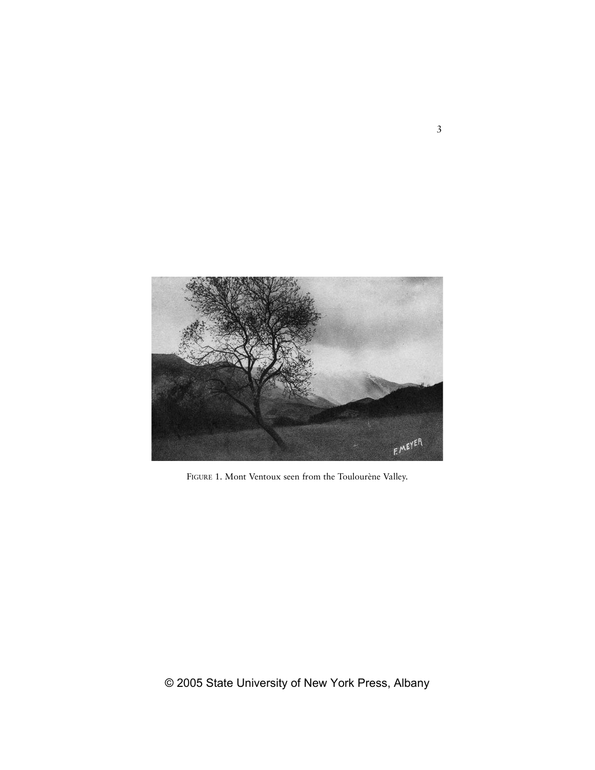

FIGURE 1. Mont Ventoux seen from the Toulourène Valley.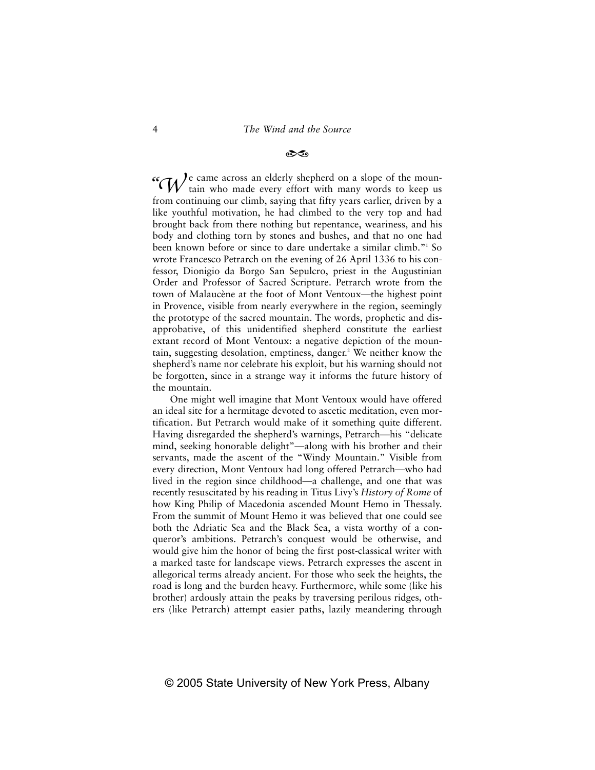ಾತ

e came across an elderly shepherd on a slope of the moun- $\mathcal{W}$  came across an elderly shepherd on a slope of the moun-<br>*"W* tain who made every effort with many words to keep us<br>*from continuing our climb* saving that fifty vears earlier driven by a from continuing our climb, saying that fifty years earlier, driven by a like youthful motivation, he had climbed to the very top and had brought back from there nothing but repentance, weariness, and his body and clothing torn by stones and bushes, and that no one had been known before or since to dare undertake a similar climb."1 So wrote Francesco Petrarch on the evening of 26 April 1336 to his confessor, Dionigio da Borgo San Sepulcro, priest in the Augustinian Order and Professor of Sacred Scripture. Petrarch wrote from the town of Malaucène at the foot of Mont Ventoux—the highest point in Provence, visible from nearly everywhere in the region, seemingly the prototype of the sacred mountain. The words, prophetic and disapprobative, of this unidentified shepherd constitute the earliest extant record of Mont Ventoux: a negative depiction of the mountain, suggesting desolation, emptiness, danger.2 We neither know the shepherd's name nor celebrate his exploit, but his warning should not be forgotten, since in a strange way it informs the future history of the mountain.

One might well imagine that Mont Ventoux would have offered an ideal site for a hermitage devoted to ascetic meditation, even mortification. But Petrarch would make of it something quite different. Having disregarded the shepherd's warnings, Petrarch—his "delicate mind, seeking honorable delight"—along with his brother and their servants, made the ascent of the "Windy Mountain." Visible from every direction, Mont Ventoux had long offered Petrarch—who had lived in the region since childhood—a challenge, and one that was recently resuscitated by his reading in Titus Livy's *History of Rome* of how King Philip of Macedonia ascended Mount Hemo in Thessaly. From the summit of Mount Hemo it was believed that one could see both the Adriatic Sea and the Black Sea, a vista worthy of a conqueror's ambitions. Petrarch's conquest would be otherwise, and would give him the honor of being the first post-classical writer with a marked taste for landscape views. Petrarch expresses the ascent in allegorical terms already ancient. For those who seek the heights, the road is long and the burden heavy. Furthermore, while some (like his brother) ardously attain the peaks by traversing perilous ridges, others (like Petrarch) attempt easier paths, lazily meandering through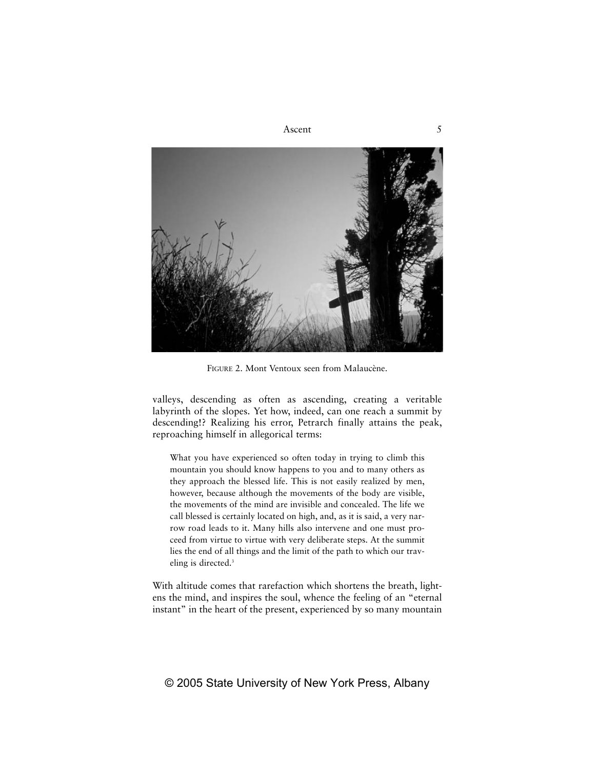

FIGURE 2. Mont Ventoux seen from Malaucène.

valleys, descending as often as ascending, creating a veritable labyrinth of the slopes. Yet how, indeed, can one reach a summit by descending!? Realizing his error, Petrarch finally attains the peak, reproaching himself in allegorical terms:

What you have experienced so often today in trying to climb this mountain you should know happens to you and to many others as they approach the blessed life. This is not easily realized by men, however, because although the movements of the body are visible, the movements of the mind are invisible and concealed. The life we call blessed is certainly located on high, and, as it is said, a very narrow road leads to it. Many hills also intervene and one must proceed from virtue to virtue with very deliberate steps. At the summit lies the end of all things and the limit of the path to which our traveling is directed.3

With altitude comes that rarefaction which shortens the breath, lightens the mind, and inspires the soul, whence the feeling of an "eternal instant" in the heart of the present, experienced by so many mountain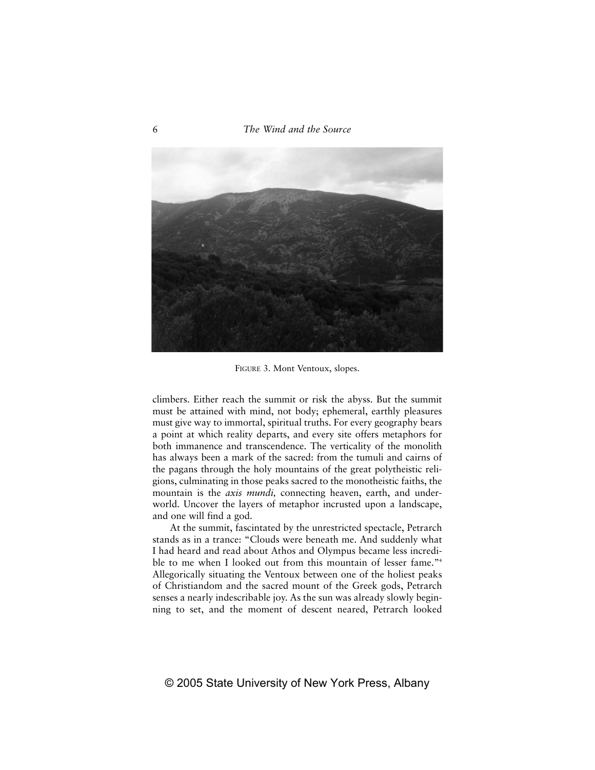

FIGURE 3. Mont Ventoux, slopes.

climbers. Either reach the summit or risk the abyss. But the summit must be attained with mind, not body; ephemeral, earthly pleasures must give way to immortal, spiritual truths. For every geography bears a point at which reality departs, and every site offers metaphors for both immanence and transcendence. The verticality of the monolith has always been a mark of the sacred: from the tumuli and cairns of the pagans through the holy mountains of the great polytheistic religions, culminating in those peaks sacred to the monotheistic faiths, the mountain is the *axis mundi,* connecting heaven, earth, and underworld. Uncover the layers of metaphor incrusted upon a landscape, and one will find a god.

At the summit, fascintated by the unrestricted spectacle, Petrarch stands as in a trance: "Clouds were beneath me. And suddenly what I had heard and read about Athos and Olympus became less incredible to me when I looked out from this mountain of lesser fame."4 Allegorically situating the Ventoux between one of the holiest peaks of Christiandom and the sacred mount of the Greek gods, Petrarch senses a nearly indescribable joy. As the sun was already slowly beginning to set, and the moment of descent neared, Petrarch looked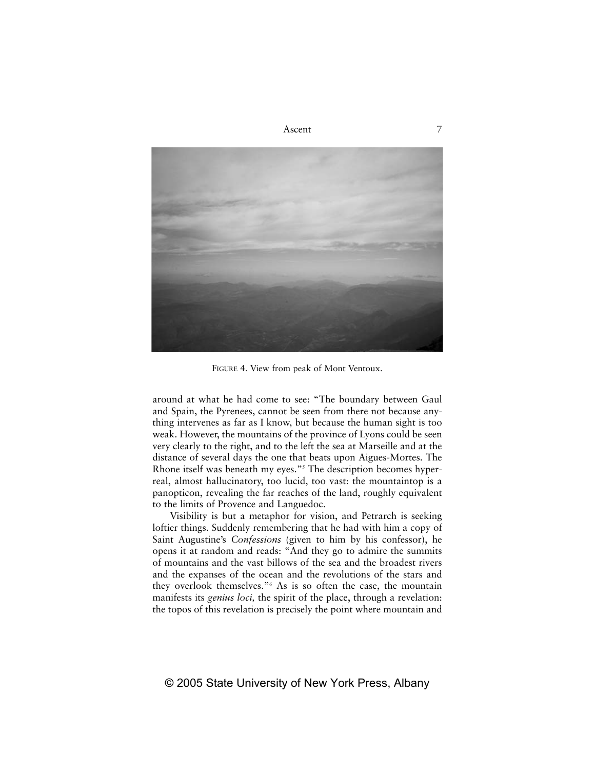

FIGURE 4. View from peak of Mont Ventoux.

around at what he had come to see: "The boundary between Gaul and Spain, the Pyrenees, cannot be seen from there not because anything intervenes as far as I know, but because the human sight is too weak. However, the mountains of the province of Lyons could be seen very clearly to the right, and to the left the sea at Marseille and at the distance of several days the one that beats upon Aigues-Mortes. The Rhone itself was beneath my eyes."5 The description becomes hyperreal, almost hallucinatory, too lucid, too vast: the mountaintop is a panopticon, revealing the far reaches of the land, roughly equivalent to the limits of Provence and Languedoc.

Visibility is but a metaphor for vision, and Petrarch is seeking loftier things. Suddenly remembering that he had with him a copy of Saint Augustine's *Confessions* (given to him by his confessor), he opens it at random and reads: "And they go to admire the summits of mountains and the vast billows of the sea and the broadest rivers and the expanses of the ocean and the revolutions of the stars and they overlook themselves."6 As is so often the case, the mountain manifests its *genius loci,* the spirit of the place, through a revelation: the topos of this revelation is precisely the point where mountain and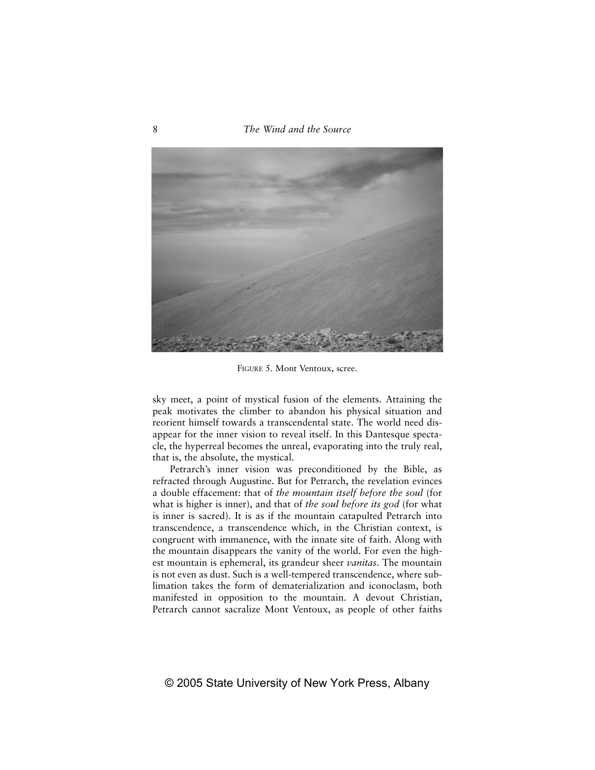

FIGURE 5. Mont Ventoux, scree.

sky meet, a point of mystical fusion of the elements. Attaining the peak motivates the climber to abandon his physical situation and reorient himself towards a transcendental state. The world need disappear for the inner vision to reveal itself. In this Dantesque spectacle, the hyperreal becomes the unreal, evaporating into the truly real, that is, the absolute, the mystical.

Petrarch's inner vision was preconditioned by the Bible, as refracted through Augustine. But for Petrarch, the revelation evinces a double effacement: that of *the mountain itself before the soul* (for what is higher is inner), and that of *the soul before its god* (for what is inner is sacred). It is as if the mountain catapulted Petrarch into transcendence, a transcendence which, in the Christian context, is congruent with immanence, with the innate site of faith. Along with the mountain disappears the vanity of the world. For even the highest mountain is ephemeral, its grandeur sheer *vanitas*. The mountain is not even as dust. Such is a well-tempered transcendence, where sublimation takes the form of dematerialization and iconoclasm, both manifested in opposition to the mountain. A devout Christian, Petrarch cannot sacralize Mont Ventoux, as people of other faiths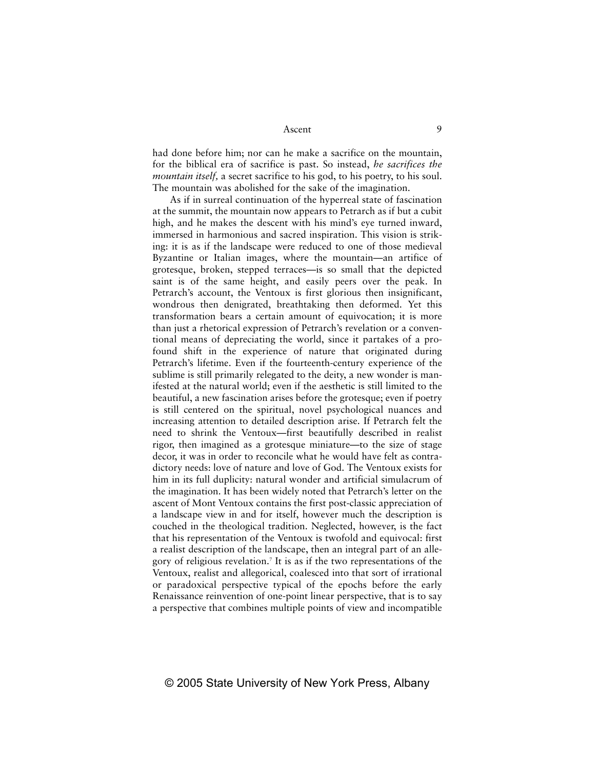had done before him; nor can he make a sacrifice on the mountain, for the biblical era of sacrifice is past. So instead, *he sacrifices the mountain itself,* a secret sacrifice to his god, to his poetry, to his soul. The mountain was abolished for the sake of the imagination.

As if in surreal continuation of the hyperreal state of fascination at the summit, the mountain now appears to Petrarch as if but a cubit high, and he makes the descent with his mind's eye turned inward, immersed in harmonious and sacred inspiration. This vision is striking: it is as if the landscape were reduced to one of those medieval Byzantine or Italian images, where the mountain—an artifice of grotesque, broken, stepped terraces—is so small that the depicted saint is of the same height, and easily peers over the peak. In Petrarch's account, the Ventoux is first glorious then insignificant, wondrous then denigrated, breathtaking then deformed. Yet this transformation bears a certain amount of equivocation; it is more than just a rhetorical expression of Petrarch's revelation or a conventional means of depreciating the world, since it partakes of a profound shift in the experience of nature that originated during Petrarch's lifetime. Even if the fourteenth-century experience of the sublime is still primarily relegated to the deity, a new wonder is manifested at the natural world; even if the aesthetic is still limited to the beautiful, a new fascination arises before the grotesque; even if poetry is still centered on the spiritual, novel psychological nuances and increasing attention to detailed description arise. If Petrarch felt the need to shrink the Ventoux—first beautifully described in realist rigor, then imagined as a grotesque miniature—to the size of stage decor, it was in order to reconcile what he would have felt as contradictory needs: love of nature and love of God. The Ventoux exists for him in its full duplicity: natural wonder and artificial simulacrum of the imagination. It has been widely noted that Petrarch's letter on the ascent of Mont Ventoux contains the first post-classic appreciation of a landscape view in and for itself, however much the description is couched in the theological tradition. Neglected, however, is the fact that his representation of the Ventoux is twofold and equivocal: first a realist description of the landscape, then an integral part of an allegory of religious revelation.7 It is as if the two representations of the Ventoux, realist and allegorical, coalesced into that sort of irrational or paradoxical perspective typical of the epochs before the early Renaissance reinvention of one-point linear perspective, that is to say a perspective that combines multiple points of view and incompatible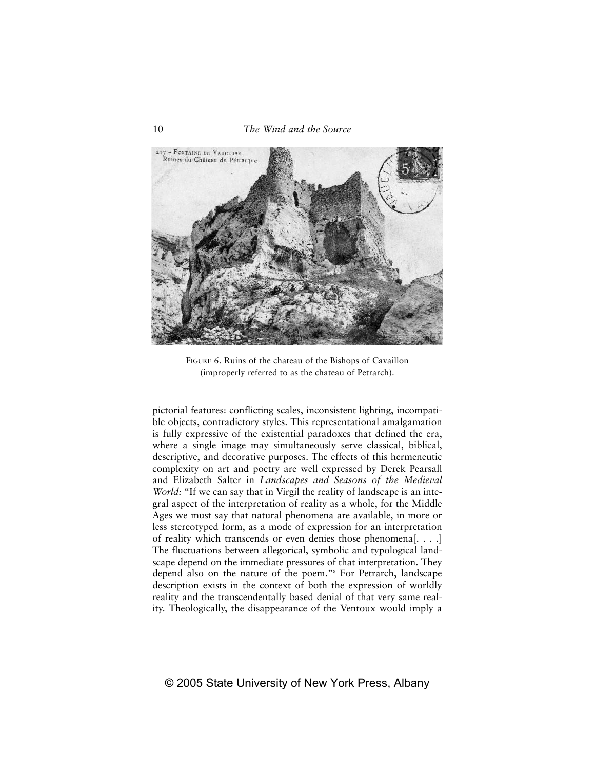

FIGURE 6. Ruins of the chateau of the Bishops of Cavaillon (improperly referred to as the chateau of Petrarch).

pictorial features: conflicting scales, inconsistent lighting, incompatible objects, contradictory styles. This representational amalgamation is fully expressive of the existential paradoxes that defined the era, where a single image may simultaneously serve classical, biblical, descriptive, and decorative purposes. The effects of this hermeneutic complexity on art and poetry are well expressed by Derek Pearsall and Elizabeth Salter in *Landscapes and Seasons of the Medieval World:* "If we can say that in Virgil the reality of landscape is an integral aspect of the interpretation of reality as a whole, for the Middle Ages we must say that natural phenomena are available, in more or less stereotyped form, as a mode of expression for an interpretation of reality which transcends or even denies those phenomena[. . . .] The fluctuations between allegorical, symbolic and typological landscape depend on the immediate pressures of that interpretation. They depend also on the nature of the poem."8 For Petrarch, landscape description exists in the context of both the expression of worldly reality and the transcendentally based denial of that very same reality. Theologically, the disappearance of the Ventoux would imply a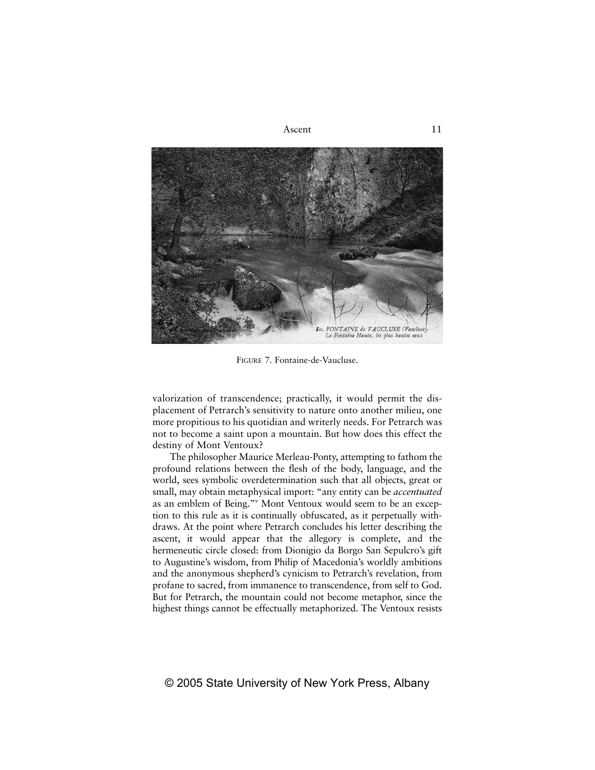

FIGURE 7. Fontaine-de-Vaucluse.

valorization of transcendence; practically, it would permit the displacement of Petrarch's sensitivity to nature onto another milieu, one more propitious to his quotidian and writerly needs. For Petrarch was not to become a saint upon a mountain. But how does this effect the destiny of Mont Ventoux?

The philosopher Maurice Merleau-Ponty, attempting to fathom the profound relations between the flesh of the body, language, and the world, sees symbolic overdetermination such that all objects, great or small, may obtain metaphysical import: "any entity can be *accentuated* as an emblem of Being."9 Mont Ventoux would seem to be an exception to this rule as it is continually obfuscated, as it perpetually withdraws. At the point where Petrarch concludes his letter describing the ascent, it would appear that the allegory is complete, and the hermeneutic circle closed: from Dionigio da Borgo San Sepulcro's gift to Augustine's wisdom, from Philip of Macedonia's worldly ambitions and the anonymous shepherd's cynicism to Petrarch's revelation, from profane to sacred, from immanence to transcendence, from self to God. But for Petrarch, the mountain could not become metaphor, since the highest things cannot be effectually metaphorized. The Ventoux resists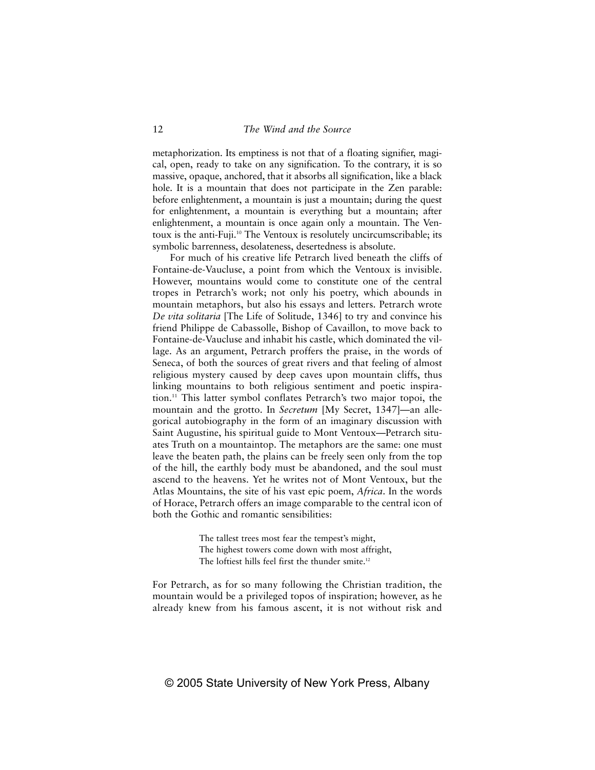metaphorization. Its emptiness is not that of a floating signifier, magical, open, ready to take on any signification. To the contrary, it is so massive, opaque, anchored, that it absorbs all signification, like a black hole. It is a mountain that does not participate in the Zen parable: before enlightenment, a mountain is just a mountain; during the quest for enlightenment, a mountain is everything but a mountain; after enlightenment, a mountain is once again only a mountain. The Ventoux is the anti-Fuji.10 The Ventoux is resolutely uncircumscribable; its symbolic barrenness, desolateness, desertedness is absolute.

For much of his creative life Petrarch lived beneath the cliffs of Fontaine-de-Vaucluse, a point from which the Ventoux is invisible. However, mountains would come to constitute one of the central tropes in Petrarch's work; not only his poetry, which abounds in mountain metaphors, but also his essays and letters. Petrarch wrote *De vita solitaria* [The Life of Solitude, 1346] to try and convince his friend Philippe de Cabassolle, Bishop of Cavaillon, to move back to Fontaine-de-Vaucluse and inhabit his castle, which dominated the village. As an argument, Petrarch proffers the praise, in the words of Seneca, of both the sources of great rivers and that feeling of almost religious mystery caused by deep caves upon mountain cliffs, thus linking mountains to both religious sentiment and poetic inspiration.11 This latter symbol conflates Petrarch's two major topoi, the mountain and the grotto. In *Secretum* [My Secret, 1347]—an allegorical autobiography in the form of an imaginary discussion with Saint Augustine, his spiritual guide to Mont Ventoux—Petrarch situates Truth on a mountaintop. The metaphors are the same: one must leave the beaten path, the plains can be freely seen only from the top of the hill, the earthly body must be abandoned, and the soul must ascend to the heavens. Yet he writes not of Mont Ventoux, but the Atlas Mountains, the site of his vast epic poem, *Africa*. In the words of Horace, Petrarch offers an image comparable to the central icon of both the Gothic and romantic sensibilities:

> The tallest trees most fear the tempest's might, The highest towers come down with most affright, The loftiest hills feel first the thunder smite.<sup>12</sup>

For Petrarch, as for so many following the Christian tradition, the mountain would be a privileged topos of inspiration; however, as he already knew from his famous ascent, it is not without risk and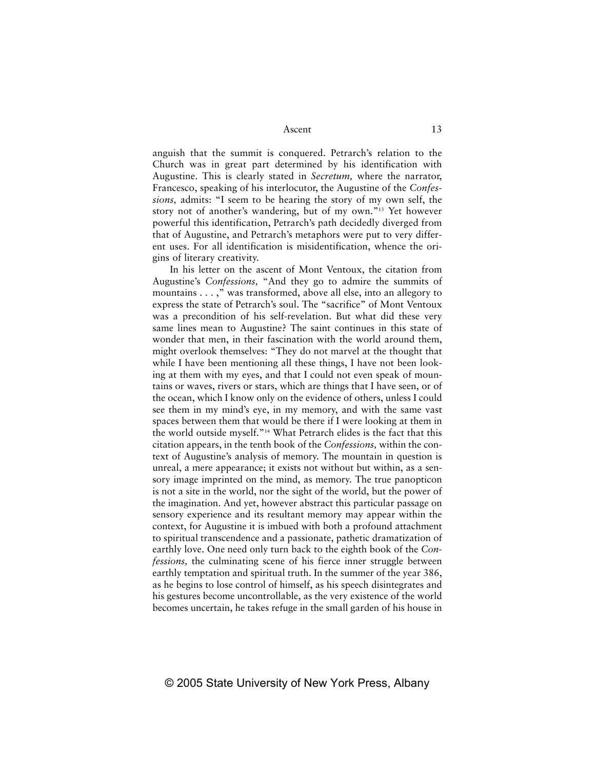anguish that the summit is conquered. Petrarch's relation to the Church was in great part determined by his identification with Augustine. This is clearly stated in *Secretum,* where the narrator, Francesco, speaking of his interlocutor, the Augustine of the *Confessions,* admits: "I seem to be hearing the story of my own self, the story not of another's wandering, but of my own."13 Yet however powerful this identification, Petrarch's path decidedly diverged from that of Augustine, and Petrarch's metaphors were put to very different uses. For all identification is misidentification, whence the origins of literary creativity.

In his letter on the ascent of Mont Ventoux, the citation from Augustine's *Confessions,* "And they go to admire the summits of mountains . . . ," was transformed, above all else, into an allegory to express the state of Petrarch's soul. The "sacrifice" of Mont Ventoux was a precondition of his self-revelation. But what did these very same lines mean to Augustine? The saint continues in this state of wonder that men, in their fascination with the world around them, might overlook themselves: "They do not marvel at the thought that while I have been mentioning all these things, I have not been looking at them with my eyes, and that I could not even speak of mountains or waves, rivers or stars, which are things that I have seen, or of the ocean, which I know only on the evidence of others, unless I could see them in my mind's eye, in my memory, and with the same vast spaces between them that would be there if I were looking at them in the world outside myself."14 What Petrarch elides is the fact that this citation appears, in the tenth book of the *Confessions,* within the context of Augustine's analysis of memory. The mountain in question is unreal, a mere appearance; it exists not without but within, as a sensory image imprinted on the mind, as memory. The true panopticon is not a site in the world, nor the sight of the world, but the power of the imagination. And yet, however abstract this particular passage on sensory experience and its resultant memory may appear within the context, for Augustine it is imbued with both a profound attachment to spiritual transcendence and a passionate, pathetic dramatization of earthly love. One need only turn back to the eighth book of the *Confessions,* the culminating scene of his fierce inner struggle between earthly temptation and spiritual truth. In the summer of the year 386, as he begins to lose control of himself, as his speech disintegrates and his gestures become uncontrollable, as the very existence of the world becomes uncertain, he takes refuge in the small garden of his house in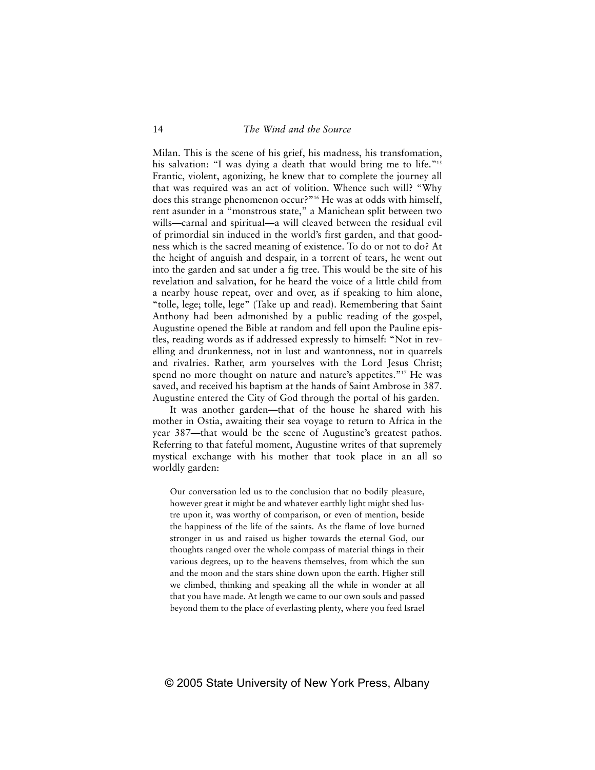Milan. This is the scene of his grief, his madness, his transfomation, his salvation: "I was dying a death that would bring me to life."<sup>15</sup> Frantic, violent, agonizing, he knew that to complete the journey all that was required was an act of volition. Whence such will? "Why does this strange phenomenon occur?"16 He was at odds with himself, rent asunder in a "monstrous state," a Manichean split between two wills—carnal and spiritual—a will cleaved between the residual evil of primordial sin induced in the world's first garden, and that goodness which is the sacred meaning of existence. To do or not to do? At the height of anguish and despair, in a torrent of tears, he went out into the garden and sat under a fig tree. This would be the site of his revelation and salvation, for he heard the voice of a little child from a nearby house repeat, over and over, as if speaking to him alone, "tolle, lege; tolle, lege" (Take up and read). Remembering that Saint Anthony had been admonished by a public reading of the gospel, Augustine opened the Bible at random and fell upon the Pauline epistles, reading words as if addressed expressly to himself: "Not in revelling and drunkenness, not in lust and wantonness, not in quarrels and rivalries. Rather, arm yourselves with the Lord Jesus Christ; spend no more thought on nature and nature's appetites."<sup>17</sup> He was saved, and received his baptism at the hands of Saint Ambrose in 387. Augustine entered the City of God through the portal of his garden.

It was another garden—that of the house he shared with his mother in Ostia, awaiting their sea voyage to return to Africa in the year 387—that would be the scene of Augustine's greatest pathos. Referring to that fateful moment, Augustine writes of that supremely mystical exchange with his mother that took place in an all so worldly garden:

Our conversation led us to the conclusion that no bodily pleasure, however great it might be and whatever earthly light might shed lustre upon it, was worthy of comparison, or even of mention, beside the happiness of the life of the saints. As the flame of love burned stronger in us and raised us higher towards the eternal God, our thoughts ranged over the whole compass of material things in their various degrees, up to the heavens themselves, from which the sun and the moon and the stars shine down upon the earth. Higher still we climbed, thinking and speaking all the while in wonder at all that you have made. At length we came to our own souls and passed beyond them to the place of everlasting plenty, where you feed Israel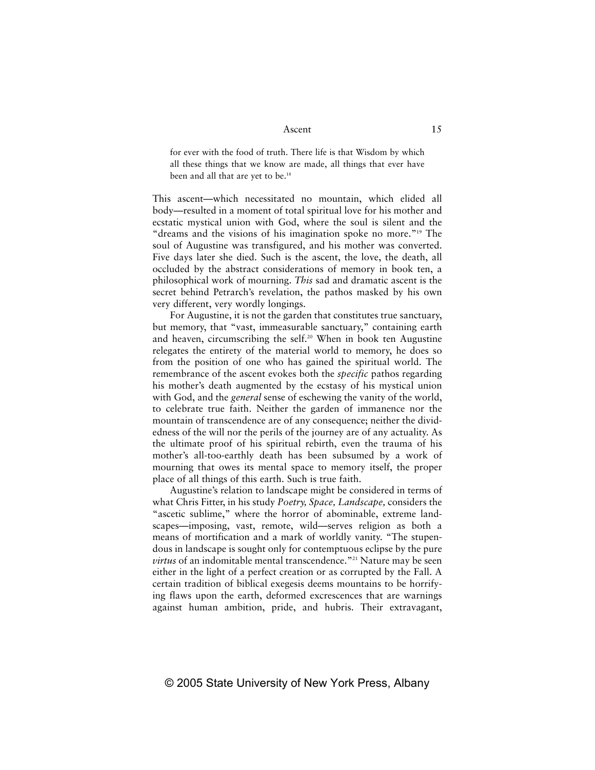for ever with the food of truth. There life is that Wisdom by which all these things that we know are made, all things that ever have been and all that are yet to be.<sup>18</sup>

This ascent—which necessitated no mountain, which elided all body—resulted in a moment of total spiritual love for his mother and ecstatic mystical union with God, where the soul is silent and the "dreams and the visions of his imagination spoke no more."19 The soul of Augustine was transfigured, and his mother was converted. Five days later she died. Such is the ascent, the love, the death, all occluded by the abstract considerations of memory in book ten, a philosophical work of mourning. *This* sad and dramatic ascent is the secret behind Petrarch's revelation, the pathos masked by his own very different, very wordly longings.

For Augustine, it is not the garden that constitutes true sanctuary, but memory, that "vast, immeasurable sanctuary," containing earth and heaven, circumscribing the self.<sup>20</sup> When in book ten Augustine relegates the entirety of the material world to memory, he does so from the position of one who has gained the spiritual world. The remembrance of the ascent evokes both the *specific* pathos regarding his mother's death augmented by the ecstasy of his mystical union with God, and the *general* sense of eschewing the vanity of the world, to celebrate true faith. Neither the garden of immanence nor the mountain of transcendence are of any consequence; neither the dividedness of the will nor the perils of the journey are of any actuality. As the ultimate proof of his spiritual rebirth, even the trauma of his mother's all-too-earthly death has been subsumed by a work of mourning that owes its mental space to memory itself, the proper place of all things of this earth. Such is true faith.

Augustine's relation to landscape might be considered in terms of what Chris Fitter, in his study *Poetry, Space, Landscape,* considers the "ascetic sublime," where the horror of abominable, extreme landscapes—imposing, vast, remote, wild—serves religion as both a means of mortification and a mark of worldly vanity. "The stupendous in landscape is sought only for contemptuous eclipse by the pure *virtus* of an indomitable mental transcendence."<sup>21</sup> Nature may be seen either in the light of a perfect creation or as corrupted by the Fall. A certain tradition of biblical exegesis deems mountains to be horrifying flaws upon the earth, deformed excrescences that are warnings against human ambition, pride, and hubris. Their extravagant,